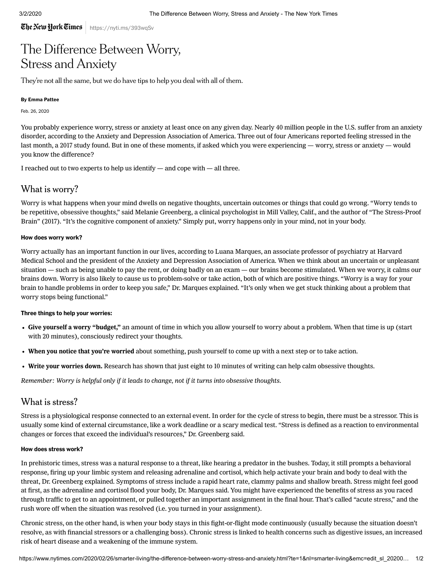The New Hork Times | https://nyti.ms/393wqSv

# The Difference Between Worry, Stress and Anxiety

They're not all the same, but we do have tips to help you deal with all of them.

## By Emma Pattee

#### Feb. 26, 2020

You probably experience worry, stress or anxiety at least once on any given day. Nearly [40 million people in the U.S.](https://adaa.org/understanding-anxiety) suffer from an anxiety disorder, according to the Anxiety and Depression Association of America. Three out of four Americans [reported feeling stressed](https://www.apa.org/monitor/2017/12/numbers) in the last month, a 2017 study found. But in one of these moments, if asked which you were experiencing — worry, stress or anxiety — would you know the difference?

I reached out to two experts to help us identify — and cope with — all three.

## What is worry?

Worry is what happens when your mind dwells on negative thoughts, uncertain outcomes or things that could go wrong. "Worry tends to [be repetitive, obsessive thoughts," said Melanie Greenberg, a clinical psychologist in Mill Valley, Calif., and the author of "The Stress-Proof](https://www.amazon.com/Stress-Proof-Brain-Emotional-Mindfulness-Neuroplasticity/dp/1626252661) Brain" (2017). "It's the cognitive component of anxiety." Simply put, worry happens only in your mind, not in your body.

## How does worry work?

Worry actually has an important function in our lives, according to Luana Marques, an associate professor of psychiatry at Harvard Medical School and the president of the [Anxiety and Depression Association of America](https://adaa.org/resources-professionals). When we think about an uncertain or unpleasant situation — such as being unable to pay the rent, or doing badly on an exam — our brains become stimulated. When we worry, it calms our brains down. Worry is also likely to cause us to problem-solve or take action, both of which are positive things. "Worry is a way for your brain to handle problems in order to keep you safe," Dr. Marques explained. "It's only when we get stuck thinking about a problem that worry stops being functional."

## Three things to help your worries:

- Give yourself a worry "budget," an amount of time in which you allow yourself to worry about a problem. When that time is up (start with 20 minutes), consciously redirect your thoughts.
- When you notice that you're worried about something, push yourself to come up with a next step or to take action.
- Write your worries down. Research has shown that just eight to 10 minutes of writing can help calm obsessive thoughts.

Remember: Worry is helpful only if it leads to change, not if it turns into obsessive thoughts.

# What is stress?

Stress is a physiological response connected to an external event. In order for the cycle of stress to begin, there must be a stressor. This is usually some kind of external circumstance, like a work deadline or a scary medical test. "Stress is defined as a reaction to environmental changes or forces that exceed the individual's resources," Dr. Greenberg said.

## How does stress work?

In prehistoric times, stress was a natural response to a threat, like hearing a predator in the bushes. Today, it still prompts a behavioral response, firing up your limbic system and releasing adrenaline and cortisol, which help activate your brain and body to deal with the threat, Dr. Greenberg explained. Symptoms of stress include a rapid heart rate, clammy palms and shallow breath. Stress might feel good at first, as the adrenaline and cortisol flood your body, Dr. Marques said. You might have experienced the benefits of stress as you raced through traffic to get to an appointment, or pulled together an important assignment in the final hour. That's called "acute stress," and the rush wore off when the situation was resolved (i.e. you turned in your assignment).

Chronic stress, on the other hand, is when your body stays in this fight-or-flight mode continuously (usually because the situation doesn't resolve, as with financial stressors or a challenging boss). Chronic stress is [linked to health concerns](https://www.apa.org/helpcenter/stress-body) such as digestive issues, an increased risk of heart disease and a weakening of the immune system.